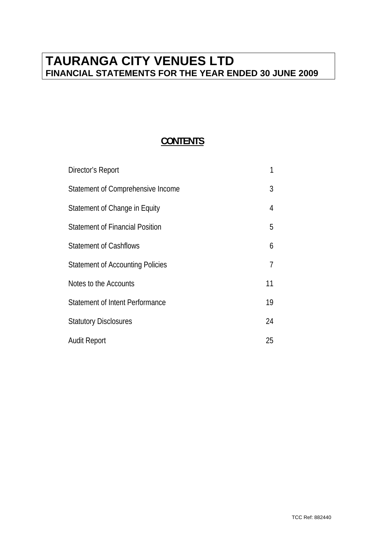# **TAURANGA CITY VENUES LTD FINANCIAL STATEMENTS FOR THE YEAR ENDED 30 JUNE 2009**

## **CONTENTS**

| Director's Report                       |    |
|-----------------------------------------|----|
| Statement of Comprehensive Income       | 3  |
| Statement of Change in Equity           | 4  |
| <b>Statement of Financial Position</b>  | 5  |
| <b>Statement of Cashflows</b>           | 6  |
| <b>Statement of Accounting Policies</b> | 7  |
| Notes to the Accounts                   | 11 |
| <b>Statement of Intent Performance</b>  | 19 |
| <b>Statutory Disclosures</b>            | 24 |
| <b>Audit Report</b>                     | 25 |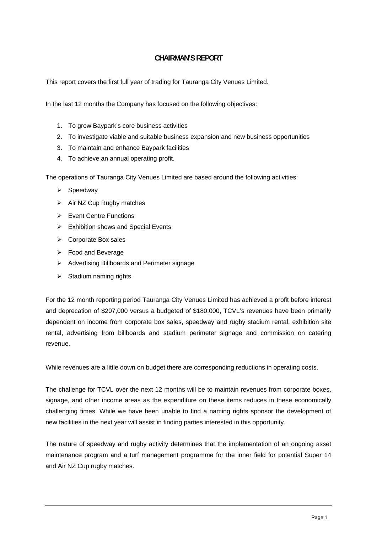## **CHAIRMAN'S REPORT**

This report covers the first full year of trading for Tauranga City Venues Limited.

In the last 12 months the Company has focused on the following objectives:

- 1. To grow Baypark's core business activities
- 2. To investigate viable and suitable business expansion and new business opportunities
- 3. To maintain and enhance Baypark facilities
- 4. To achieve an annual operating profit.

The operations of Tauranga City Venues Limited are based around the following activities:

- $\triangleright$  Speedway
- $\triangleright$  Air NZ Cup Rugby matches
- $\triangleright$  Event Centre Functions
- $\triangleright$  Exhibition shows and Special Events
- ¾ Corporate Box sales
- $\triangleright$  Food and Beverage
- $\triangleright$  Advertising Billboards and Perimeter signage
- $\triangleright$  Stadium naming rights

For the 12 month reporting period Tauranga City Venues Limited has achieved a profit before interest and deprecation of \$207,000 versus a budgeted of \$180,000, TCVL's revenues have been primarily dependent on income from corporate box sales, speedway and rugby stadium rental, exhibition site rental, advertising from billboards and stadium perimeter signage and commission on catering revenue.

While revenues are a little down on budget there are corresponding reductions in operating costs.

The challenge for TCVL over the next 12 months will be to maintain revenues from corporate boxes, signage, and other income areas as the expenditure on these items reduces in these economically challenging times. While we have been unable to find a naming rights sponsor the development of new facilities in the next year will assist in finding parties interested in this opportunity.

The nature of speedway and rugby activity determines that the implementation of an ongoing asset maintenance program and a turf management programme for the inner field for potential Super 14 and Air NZ Cup rugby matches.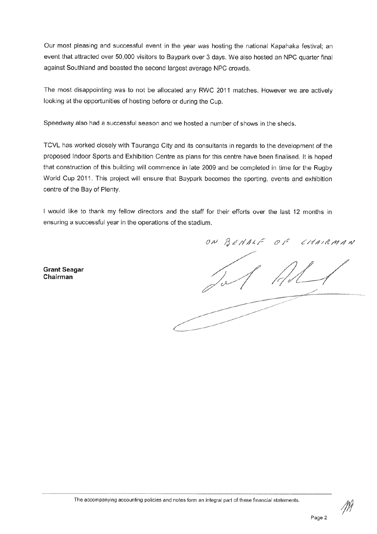Our most pleasing and successful event in the year was hosting the national Kapahaka festival; an event that attracted over 50,000 visitors to Baypark over 3 days. We also hosted an NPC quarter final against Southland and boasted the second largest average NPC crowds.

The most disappointing was to not be allocated any RWC 2011 matches. However we are actively looking at the opportunities of hosting before or during the Cup.

Speedway also had a successful season and we hosted a number of shows in the sheds.

TCVL has worked closely with Tauranga City and its consultants in regards to the development of the proposed Indoor Sports and Exhibition Centre as plans for this centre have been finalised. It is hoped that construction of this building will commence in late 2009 and be completed in time for the Rugby World Cup 2011. This project will ensure that Baypark becomes the sporting, events and exhibition centre of the Bay of Plenty.

I would like to thank my fellow directors and the staff for their efforts over the last 12 months in ensuring a successful year in the operations of the stadium.

**Grant Seagar** Chairman

ON BEHALF CHAIRMAN  $O_F$ 

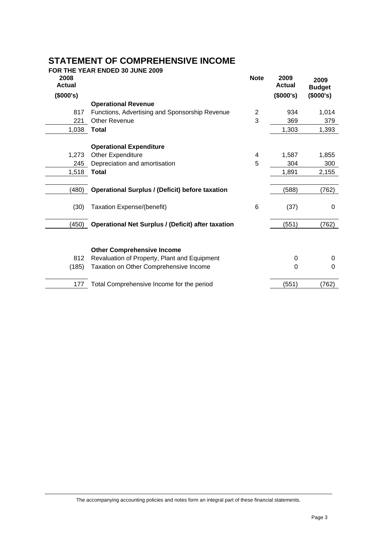# **STATEMENT OF COMPREHENSIVE INCOME**

|                       | FOR THE YEAR ENDED 30 JUNE 2009                           |                |                       |                       |
|-----------------------|-----------------------------------------------------------|----------------|-----------------------|-----------------------|
| 2008<br><b>Actual</b> |                                                           | <b>Note</b>    | 2009<br><b>Actual</b> | 2009<br><b>Budget</b> |
| (\$000's)             |                                                           |                | (\$000's)             | (\$000's)             |
|                       | <b>Operational Revenue</b>                                |                |                       |                       |
| 817                   | Functions, Advertising and Sponsorship Revenue            | $\overline{2}$ | 934                   | 1,014                 |
| 221                   | <b>Other Revenue</b>                                      | 3              | 369                   | 379                   |
| 1,038                 | <b>Total</b>                                              |                | 1,303                 | 1,393                 |
|                       | <b>Operational Expenditure</b>                            |                |                       |                       |
| 1,273                 | Other Expenditure                                         | 4              | 1,587                 | 1,855                 |
| 245                   | Depreciation and amortisation                             | 5              | 304                   | 300                   |
| 1,518                 | <b>Total</b>                                              |                | 1,891                 | 2,155                 |
| (480)                 | <b>Operational Surplus / (Deficit) before taxation</b>    |                | (588)                 | (762)                 |
|                       |                                                           |                |                       |                       |
| (30)                  | Taxation Expense/(benefit)                                | 6              | (37)                  | 0                     |
| (450)                 | <b>Operational Net Surplus / (Deficit) after taxation</b> |                | (551)                 | (762)                 |
|                       |                                                           |                |                       |                       |
|                       | <b>Other Comprehensive Income</b>                         |                |                       |                       |
| 812                   | Revaluation of Property, Plant and Equipment              |                | 0                     | 0                     |
| (185)                 | Taxation on Other Comprehensive Income                    |                | 0                     | 0                     |
| 177                   | Total Comprehensive Income for the period                 |                | (551)                 | (762)                 |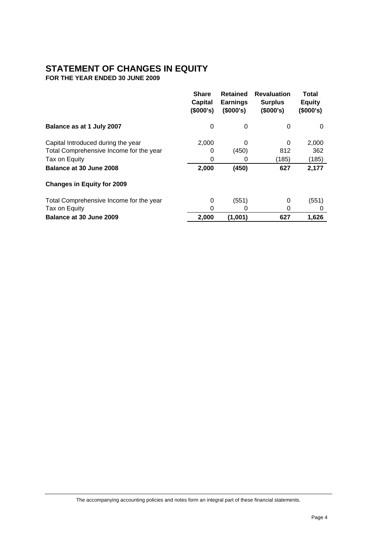## **STATEMENT OF CHANGES IN EQUITY**

**FOR THE YEAR ENDED 30 JUNE 2009** 

|                                         | <b>Share</b><br><b>Capital</b><br>(\$000's) | <b>Retained</b><br><b>Earnings</b><br>(\$000's) | <b>Revaluation</b><br><b>Surplus</b><br>(\$000's) | Total<br><b>Equity</b><br>(\$000's) |
|-----------------------------------------|---------------------------------------------|-------------------------------------------------|---------------------------------------------------|-------------------------------------|
| Balance as at 1 July 2007               | 0                                           | 0                                               | 0                                                 | 0                                   |
| Capital Introduced during the year      | 2,000                                       | 0                                               | 0                                                 | 2,000                               |
| Total Comprehensive Income for the year | 0                                           | (450)                                           | 812                                               | 362                                 |
| Tax on Equity                           | 0                                           | 0                                               | (185)                                             | (185)                               |
| Balance at 30 June 2008                 | 2,000                                       | (450)                                           | 627                                               | 2,177                               |
| <b>Changes in Equity for 2009</b>       |                                             |                                                 |                                                   |                                     |
| Total Comprehensive Income for the year | 0                                           | (551)                                           | 0                                                 | (551)                               |
| Tax on Equity                           | 0                                           | O                                               | 0                                                 | 0                                   |
| Balance at 30 June 2009                 | 2,000                                       | (1,001)                                         | 627                                               | 1,626                               |

The accompanying accounting policies and notes form an integral part of these financial statements.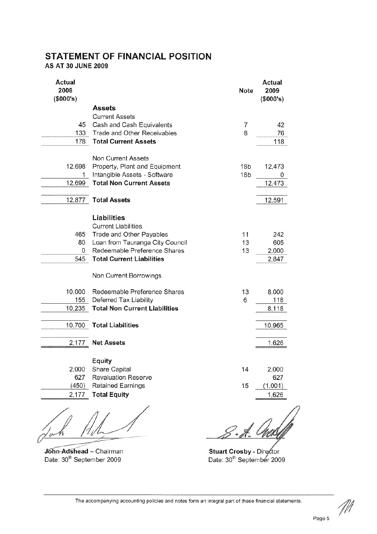## **STATEMENT OF FINANCIAL POSITION**

AS AT 30 JUNE 2009

| <b>Actual</b><br>2008<br>(\$000's) |                                      | <b>Note</b>     | Actual<br>2009<br>(\$000's) |
|------------------------------------|--------------------------------------|-----------------|-----------------------------|
|                                    | <b>Assets</b>                        |                 |                             |
|                                    | <b>Current Assets</b>                |                 |                             |
| 45                                 | Cash and Cash Equivalents            | 7               | 42                          |
| 133                                | Trade and Other Receivables          | 8               | 76                          |
| 178                                | <b>Total Current Assets</b>          |                 | 118                         |
|                                    |                                      |                 |                             |
|                                    | <b>Non Current Assets</b>            |                 |                             |
| 12,698                             | Property, Plant and Equipment        | 18 <sub>b</sub> | 12,473                      |
|                                    | Intangible Assets - Software         | 18 <sub>b</sub> |                             |
| 12,699                             | <b>Total Non Current Assets</b>      |                 | 12,473                      |
|                                    |                                      |                 |                             |
| 12,877                             | <b>Total Assets</b>                  |                 | 12,591                      |
|                                    |                                      |                 |                             |
|                                    | Liabilities                          |                 |                             |
|                                    | <b>Current Liabilities</b>           |                 |                             |
| 465                                | Trade and Other Payables             | 11              | 242                         |
| 80                                 | Loan from Tauranga City Council      | 13              | 605                         |
| 0                                  | Redeemable Preference Shares         | 13              | 2,000                       |
| 545                                | <b>Total Current Liabilities</b>     |                 | 2,847                       |
|                                    | Non Current Borrowings               |                 |                             |
| 10,000                             | Redeemable Preference Shares         | 13              | 8,000                       |
| 155                                | Deferred Tax Liability               | 6               | 118                         |
| 10,235                             | <b>Total Non Current Liabilities</b> |                 | 8,118                       |
|                                    |                                      |                 |                             |
| 10,700                             | <b>Total Liabilities</b>             |                 | 10,965                      |
|                                    |                                      |                 |                             |
| 2,177                              | <b>Net Assets</b>                    |                 | 1,626                       |
|                                    |                                      |                 |                             |
|                                    | <b>Equity</b>                        |                 |                             |
| 2,000                              | Share Capital                        | 14              | 2,000                       |
| 627                                | <b>Revaluation Reserve</b>           |                 | 627                         |
| (450)                              | <b>Retained Earnings</b>             | 15              | (1,001)                     |
| 2,177                              | <b>Total Equity</b>                  |                 | 1,626                       |
|                                    |                                      |                 |                             |
|                                    |                                      |                 |                             |

Joh f1 fl

John-Adshead - Chairman<br>Date: 30<sup>th</sup> September 2009

S - H. *Ches*Leff

Stuart Crosby - Director<br>Date: 30<sup>th</sup> September 2009

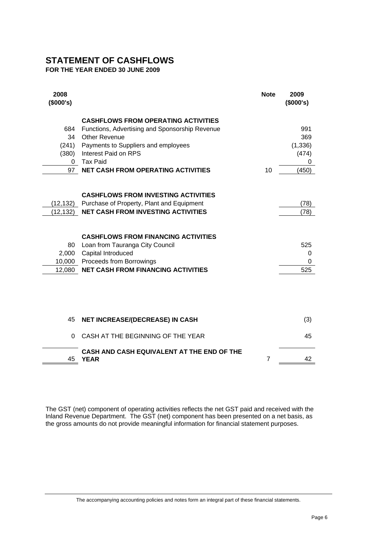## **STATEMENT OF CASHFLOWS**

**FOR THE YEAR ENDED 30 JUNE 2009** 

| 2008<br>(\$000's) |                                                           | <b>Note</b> | 2009<br>(\$000's) |
|-------------------|-----------------------------------------------------------|-------------|-------------------|
|                   | <b>CASHFLOWS FROM OPERATING ACTIVITIES</b>                |             |                   |
| 684               | Functions, Advertising and Sponsorship Revenue            |             | 991               |
| 34                | <b>Other Revenue</b>                                      |             | 369               |
| (241)             | Payments to Suppliers and employees                       |             | (1, 336)          |
| (380)             | Interest Paid on RPS                                      |             | (474)             |
| 0                 | <b>Tax Paid</b>                                           |             | 0                 |
| 97                | <b>NET CASH FROM OPERATING ACTIVITIES</b>                 | 10          | (450)             |
|                   |                                                           |             |                   |
|                   | <b>CASHFLOWS FROM INVESTING ACTIVITIES</b>                |             |                   |
| (12,132)          | Purchase of Property, Plant and Equipment                 |             | (78)              |
| (12, 132)         | <b>NET CASH FROM INVESTING ACTIVITIES</b>                 |             | (78)              |
|                   | <b>CASHFLOWS FROM FINANCING ACTIVITIES</b>                |             |                   |
| 80                | Loan from Tauranga City Council                           |             | 525               |
| 2,000             | Capital Introduced                                        |             | 0                 |
| 10,000            | Proceeds from Borrowings                                  |             | 0                 |
| 12,080            | <b>NET CASH FROM FINANCING ACTIVITIES</b>                 |             | 525               |
|                   |                                                           |             |                   |
| 45                | <b>NET INCREASE/(DECREASE) IN CASH</b>                    |             | (3)               |
| 0                 | CASH AT THE BEGINNING OF THE YEAR                         |             | 45                |
| 45                | CASH AND CASH EQUIVALENT AT THE END OF THE<br><b>YEAR</b> | 7           | 42                |

The GST (net) component of operating activities reflects the net GST paid and received with the Inland Revenue Department. The GST (net) component has been presented on a net basis, as the gross amounts do not provide meaningful information for financial statement purposes.

The accompanying accounting policies and notes form an integral part of these financial statements.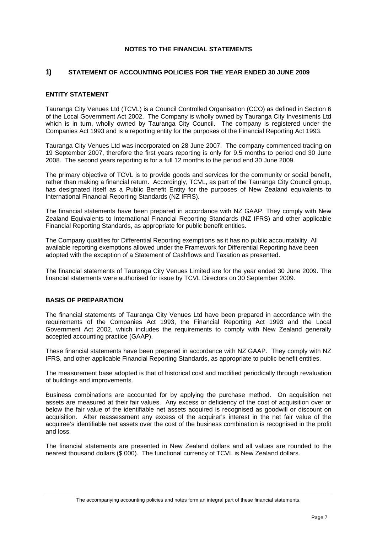#### **NOTES TO THE FINANCIAL STATEMENTS**

#### **1) STATEMENT OF ACCOUNTING POLICIES FOR THE YEAR ENDED 30 JUNE 2009**

#### **ENTITY STATEMENT**

Tauranga City Venues Ltd (TCVL) is a Council Controlled Organisation (CCO) as defined in Section 6 of the Local Government Act 2002. The Company is wholly owned by Tauranga City Investments Ltd which is in turn, wholly owned by Tauranga City Council. The company is registered under the Companies Act 1993 and is a reporting entity for the purposes of the Financial Reporting Act 1993.

Tauranga City Venues Ltd was incorporated on 28 June 2007. The company commenced trading on 19 September 2007, therefore the first years reporting is only for 9.5 months to period end 30 June 2008. The second years reporting is for a full 12 months to the period end 30 June 2009.

The primary objective of TCVL is to provide goods and services for the community or social benefit, rather than making a financial return. Accordingly, TCVL, as part of the Tauranga City Council group, has designated itself as a Public Benefit Entity for the purposes of New Zealand equivalents to International Financial Reporting Standards (NZ IFRS).

The financial statements have been prepared in accordance with NZ GAAP. They comply with New Zealand Equivalents to International Financial Reporting Standards (NZ IFRS) and other applicable Financial Reporting Standards, as appropriate for public benefit entities.

The Company qualifies for Differential Reporting exemptions as it has no public accountability. All available reporting exemptions allowed under the Framework for Differential Reporting have been adopted with the exception of a Statement of Cashflows and Taxation as presented.

The financial statements of Tauranga City Venues Limited are for the year ended 30 June 2009. The financial statements were authorised for issue by TCVL Directors on 30 September 2009.

#### **BASIS OF PREPARATION**

The financial statements of Tauranga City Venues Ltd have been prepared in accordance with the requirements of the Companies Act 1993, the Financial Reporting Act 1993 and the Local Government Act 2002, which includes the requirements to comply with New Zealand generally accepted accounting practice (GAAP).

These financial statements have been prepared in accordance with NZ GAAP. They comply with NZ IFRS, and other applicable Financial Reporting Standards, as appropriate to public benefit entities.

The measurement base adopted is that of historical cost and modified periodically through revaluation of buildings and improvements.

Business combinations are accounted for by applying the purchase method. On acquisition net assets are measured at their fair values. Any excess or deficiency of the cost of acquisition over or below the fair value of the identifiable net assets acquired is recognised as goodwill or discount on acquisition. After reassessment any excess of the acquirer's interest in the net fair value of the acquiree's identifiable net assets over the cost of the business combination is recognised in the profit and loss.

The financial statements are presented in New Zealand dollars and all values are rounded to the nearest thousand dollars (\$ 000). The functional currency of TCVL is New Zealand dollars.

The accompanying accounting policies and notes form an integral part of these financial statements.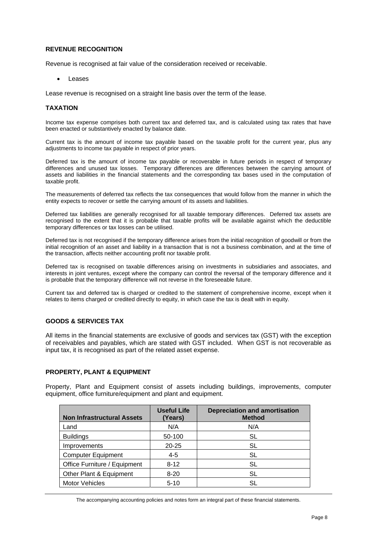### **REVENUE RECOGNITION**

Revenue is recognised at fair value of the consideration received or receivable.

• Leases

Lease revenue is recognised on a straight line basis over the term of the lease.

#### **TAXATION**

Income tax expense comprises both current tax and deferred tax, and is calculated using tax rates that have been enacted or substantively enacted by balance date.

Current tax is the amount of income tax payable based on the taxable profit for the current year, plus any adjustments to income tax payable in respect of prior years.

Deferred tax is the amount of income tax payable or recoverable in future periods in respect of temporary differences and unused tax losses. Temporary differences are differences between the carrying amount of assets and liabilities in the financial statements and the corresponding tax bases used in the computation of taxable profit.

The measurements of deferred tax reflects the tax consequences that would follow from the manner in which the entity expects to recover or settle the carrying amount of its assets and liabilities.

Deferred tax liabilities are generally recognised for all taxable temporary differences. Deferred tax assets are recognised to the extent that it is probable that taxable profits will be available against which the deductible temporary differences or tax losses can be utilised.

Deferred tax is not recognised if the temporary difference arises from the initial recognition of goodwill or from the initial recognition of an asset and liability in a transaction that is not a business combination, and at the time of the transaction, affects neither accounting profit nor taxable profit.

Deferred tax is recognised on taxable differences arising on investments in subsidiaries and associates, and interests in joint ventures, except where the company can control the reversal of the temporary difference and it is probable that the temporary difference will not reverse in the foreseeable future.

Current tax and deferred tax is charged or credited to the statement of comprehensive income, except when it relates to items charged or credited directly to equity, in which case the tax is dealt with in equity.

#### **GOODS & SERVICES TAX**

All items in the financial statements are exclusive of goods and services tax (GST) with the exception of receivables and payables, which are stated with GST included. When GST is not recoverable as input tax, it is recognised as part of the related asset expense.

#### **PROPERTY, PLANT & EQUIPMENT**

Property, Plant and Equipment consist of assets including buildings, improvements, computer equipment, office furniture/equipment and plant and equipment.

| <b>Non Infrastructural Assets</b> | <b>Useful Life</b><br>(Years) | <b>Depreciation and amortisation</b><br><b>Method</b> |
|-----------------------------------|-------------------------------|-------------------------------------------------------|
| Land                              | N/A                           | N/A                                                   |
| <b>Buildings</b>                  | 50-100                        | SL                                                    |
| Improvements                      | $20 - 25$                     | SL                                                    |
| <b>Computer Equipment</b>         | 4-5                           | SL                                                    |
| Office Furniture / Equipment      | $8 - 12$                      | SL                                                    |
| Other Plant & Equipment           | $8 - 20$                      | SL                                                    |
| <b>Motor Vehicles</b>             | $5 - 10$                      | SL                                                    |

The accompanying accounting policies and notes form an integral part of these financial statements.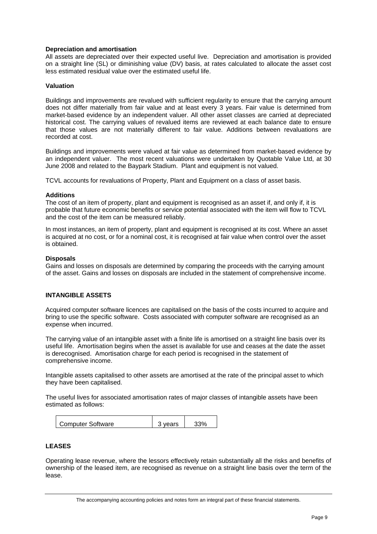#### **Depreciation and amortisation**

All assets are depreciated over their expected useful live. Depreciation and amortisation is provided on a straight line (SL) or diminishing value (DV) basis, at rates calculated to allocate the asset cost less estimated residual value over the estimated useful life.

#### **Valuation**

Buildings and improvements are revalued with sufficient regularity to ensure that the carrying amount does not differ materially from fair value and at least every 3 years. Fair value is determined from market-based evidence by an independent valuer. All other asset classes are carried at depreciated historical cost. The carrying values of revalued items are reviewed at each balance date to ensure that those values are not materially different to fair value. Additions between revaluations are recorded at cost.

Buildings and improvements were valued at fair value as determined from market-based evidence by an independent valuer. The most recent valuations were undertaken by Quotable Value Ltd, at 30 June 2008 and related to the Baypark Stadium. Plant and equipment is not valued.

TCVL accounts for revaluations of Property, Plant and Equipment on a class of asset basis.

#### **Additions**

The cost of an item of property, plant and equipment is recognised as an asset if, and only if, it is probable that future economic benefits or service potential associated with the item will flow to TCVL and the cost of the item can be measured reliably.

In most instances, an item of property, plant and equipment is recognised at its cost. Where an asset is acquired at no cost, or for a nominal cost, it is recognised at fair value when control over the asset is obtained.

#### **Disposals**

Gains and losses on disposals are determined by comparing the proceeds with the carrying amount of the asset. Gains and losses on disposals are included in the statement of comprehensive income.

#### **INTANGIBLE ASSETS**

Acquired computer software licences are capitalised on the basis of the costs incurred to acquire and bring to use the specific software. Costs associated with computer software are recognised as an expense when incurred.

The carrying value of an intangible asset with a finite life is amortised on a straight line basis over its useful life. Amortisation begins when the asset is available for use and ceases at the date the asset is derecognised. Amortisation charge for each period is recognised in the statement of comprehensive income.

Intangible assets capitalised to other assets are amortised at the rate of the principal asset to which they have been capitalised.

The useful lives for associated amortisation rates of major classes of intangible assets have been estimated as follows:

| <b>Computer Software</b> | 3 vears |  |
|--------------------------|---------|--|
|                          |         |  |

#### **LEASES**

Operating lease revenue, where the lessors effectively retain substantially all the risks and benefits of ownership of the leased item, are recognised as revenue on a straight line basis over the term of the lease.

The accompanying accounting policies and notes form an integral part of these financial statements.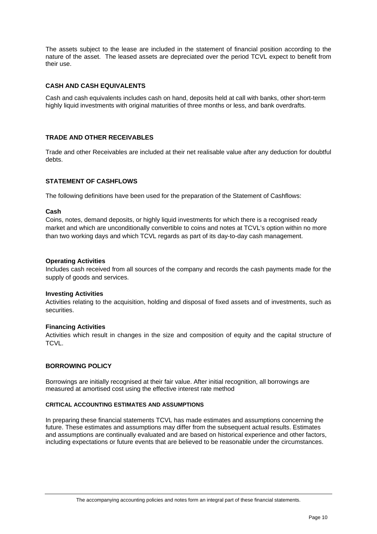The assets subject to the lease are included in the statement of financial position according to the nature of the asset. The leased assets are depreciated over the period TCVL expect to benefit from their use.

#### **CASH AND CASH EQUIVALENTS**

Cash and cash equivalents includes cash on hand, deposits held at call with banks, other short-term highly liquid investments with original maturities of three months or less, and bank overdrafts.

#### **TRADE AND OTHER RECEIVABLES**

Trade and other Receivables are included at their net realisable value after any deduction for doubtful debts.

#### **STATEMENT OF CASHFLOWS**

The following definitions have been used for the preparation of the Statement of Cashflows:

#### **Cash**

Coins, notes, demand deposits, or highly liquid investments for which there is a recognised ready market and which are unconditionally convertible to coins and notes at TCVL's option within no more than two working days and which TCVL regards as part of its day-to-day cash management.

#### **Operating Activities**

Includes cash received from all sources of the company and records the cash payments made for the supply of goods and services.

#### **Investing Activities**

Activities relating to the acquisition, holding and disposal of fixed assets and of investments, such as securities.

#### **Financing Activities**

Activities which result in changes in the size and composition of equity and the capital structure of TCVL.

#### **BORROWING POLICY**

Borrowings are initially recognised at their fair value. After initial recognition, all borrowings are measured at amortised cost using the effective interest rate method

#### **CRITICAL ACCOUNTING ESTIMATES AND ASSUMPTIONS**

In preparing these financial statements TCVL has made estimates and assumptions concerning the future. These estimates and assumptions may differ from the subsequent actual results. Estimates and assumptions are continually evaluated and are based on historical experience and other factors, including expectations or future events that are believed to be reasonable under the circumstances.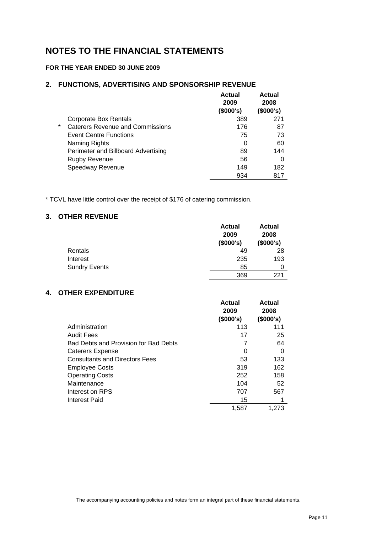## **NOTES TO THE FINANCIAL STATEMENTS**

## **FOR THE YEAR ENDED 30 JUNE 2009**

### **2. FUNCTIONS, ADVERTISING AND SPONSORSHIP REVENUE**

|         |                                         | Actual<br>2009<br>(\$000's) | Actual<br>2008<br>(\$000's) |
|---------|-----------------------------------------|-----------------------------|-----------------------------|
|         | <b>Corporate Box Rentals</b>            | 389                         | 271                         |
| $\star$ | <b>Caterers Revenue and Commissions</b> | 176                         | 87                          |
|         | <b>Event Centre Functions</b>           | 75                          | 73                          |
|         | Naming Rights                           | 0                           | 60                          |
|         | Perimeter and Billboard Advertising     | 89                          | 144                         |
|         | <b>Rugby Revenue</b>                    | 56                          | 0                           |
|         | Speedway Revenue                        | 149                         | 182                         |
|         |                                         | 934                         |                             |

\* TCVL have little control over the receipt of \$176 of catering commission.

## **3. OTHER REVENUE**

|                      | <b>Actual</b><br>2009<br>(\$000's) | <b>Actual</b><br>2008<br>(\$000's) |
|----------------------|------------------------------------|------------------------------------|
| Rentals              | 49                                 | 28                                 |
| Interest             | 235                                | 193                                |
| <b>Sundry Events</b> | 85                                 | 0                                  |
|                      | 369                                | 221                                |

## **4. OTHER EXPENDITURE**

|                                       | Actual<br>2009<br>(\$000's) | <b>Actual</b><br>2008<br>(\$000's) |
|---------------------------------------|-----------------------------|------------------------------------|
| Administration                        | 113                         | 111                                |
| <b>Audit Fees</b>                     | 17                          | 25                                 |
| Bad Debts and Provision for Bad Debts | 7                           | 64                                 |
| Caterers Expense                      | 0                           | 0                                  |
| <b>Consultants and Directors Fees</b> | 53                          | 133                                |
| <b>Employee Costs</b>                 | 319                         | 162                                |
| <b>Operating Costs</b>                | 252                         | 158                                |
| Maintenance                           | 104                         | 52                                 |
| Interest on RPS                       | 707                         | 567                                |
| <b>Interest Paid</b>                  | 15                          |                                    |
|                                       | 1,587                       | 1.273                              |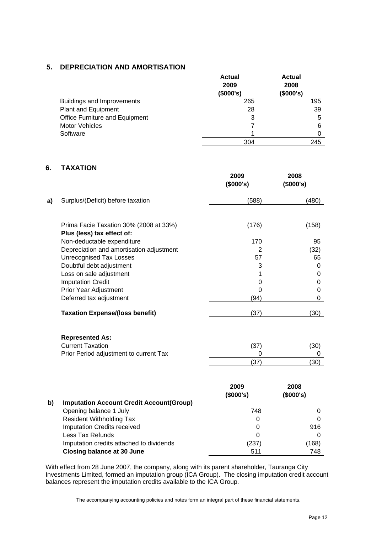## **5. DEPRECIATION AND AMORTISATION**

|                                | <b>Actual</b><br>2009 | <b>Actual</b><br>2008 |
|--------------------------------|-----------------------|-----------------------|
|                                | (\$000's)             | (\$000's)             |
| Buildings and Improvements     | 265                   | 195                   |
| Plant and Equipment            | 28                    | 39                    |
| Office Furniture and Equipment | 3                     | 5                     |
| <b>Motor Vehicles</b>          |                       | 6                     |
| Software                       |                       |                       |
|                                | 304                   | 245                   |

## **6. TAXATION**

|    |                                                                      | 2009<br>(\$000's) | 2008<br>(\$000's) |
|----|----------------------------------------------------------------------|-------------------|-------------------|
| a) | Surplus/(Deficit) before taxation                                    | (588)             | (480)             |
|    | Prima Facie Taxation 30% (2008 at 33%)<br>Plus (less) tax effect of: | (176)             | (158)             |
|    | Non-deductable expenditure                                           | 170               | 95                |
|    | Depreciation and amortisation adjustment                             | $\overline{2}$    | (32)              |
|    | <b>Unrecognised Tax Losses</b>                                       | 57                | 65                |
|    | Doubtful debt adjustment                                             | 3                 | 0                 |
|    | Loss on sale adjustment                                              | 1                 | 0                 |
|    | <b>Imputation Credit</b>                                             | $\mathbf 0$       | $\mathbf 0$       |
|    | Prior Year Adjustment                                                | 0                 | 0                 |
|    | Deferred tax adjustment                                              | (94)              | 0                 |
|    | <b>Taxation Expense/(loss benefit)</b>                               | (37)              | (30)              |
|    | <b>Represented As:</b>                                               |                   |                   |
|    | <b>Current Taxation</b>                                              | (37)              | (30)              |
|    | Prior Period adjustment to current Tax                               | 0                 | 0                 |
|    |                                                                      | (37)              | (30)              |
|    |                                                                      |                   |                   |
|    |                                                                      | 2009<br>(\$000's) | 2008<br>(\$000's) |
| b) | <b>Imputation Account Credit Account(Group)</b>                      |                   |                   |
|    | Opening balance 1 July                                               | 748               | 0                 |
|    | <b>Resident Withholding Tax</b>                                      | 0                 | 0                 |
|    | Imputation Credits received                                          | 0                 | 916               |
|    | Less Tax Refunds                                                     | 0                 | $\Omega$          |
|    | Imputation credits attached to dividends                             | (237)             | (168)             |

**Closing balance at 30 June 19 June 19 September 20 September 2011 19 Table 748** 

With effect from 28 June 2007, the company, along with its parent shareholder, Tauranga City Investments Limited, formed an imputation group (ICA Group). The closing imputation credit account balances represent the imputation credits available to the ICA Group.

The accompanying accounting policies and notes form an integral part of these financial statements.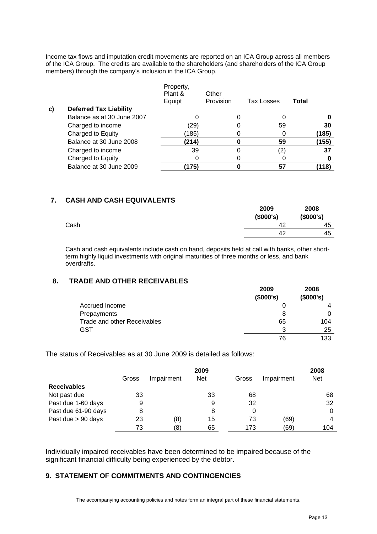Income tax flows and imputation credit movements are reported on an ICA Group across all members of the ICA Group. The credits are available to the shareholders (and shareholders of the ICA Group members) through the company's inclusion in the ICA Group.

|    | <b>Deferred Tax Liability</b> | Property,<br>Plant &<br>Equipt | Other<br>Provision | <b>Tax Losses</b> | Total |
|----|-------------------------------|--------------------------------|--------------------|-------------------|-------|
| C) | Balance as at 30 June 2007    |                                |                    |                   |       |
|    | Charged to income             | (29)                           |                    | 59                | 30    |
|    | Charged to Equity             | (185)                          |                    |                   | (185) |
|    | Balance at 30 June 2008       | (214)                          |                    | 59                | (155) |
|    | Charged to income             | 39                             |                    | (2)               | 37    |
|    | Charged to Equity             |                                |                    |                   |       |
|    | Balance at 30 June 2009       | ั175)                          |                    | 57                | (118) |

## **7. CASH AND CASH EQUIVALENTS**

|      | 2009<br>(\$000's) | 2008<br>(\$000's) |
|------|-------------------|-------------------|
| Cash | 42                | 45                |
|      | 42                | 45                |
|      |                   |                   |

Cash and cash equivalents include cash on hand, deposits held at call with banks, other shortterm highly liquid investments with original maturities of three months or less, and bank overdrafts.

## **8. TRADE AND OTHER RECEIVABLES**

|                                    | 2009<br>(\$000's) | 2008<br>(\$000's) |
|------------------------------------|-------------------|-------------------|
| Accrued Income                     |                   |                   |
| Prepayments                        | 8                 |                   |
| <b>Trade and other Receivables</b> | 65                | 104               |
| <b>GST</b>                         | 3                 | 25                |
|                                    | 76                | 133               |

The status of Receivables as at 30 June 2009 is detailed as follows:

|                     | 2009  |            |            | 2008  |            |            |
|---------------------|-------|------------|------------|-------|------------|------------|
|                     | Gross | Impairment | <b>Net</b> | Gross | Impairment | <b>Net</b> |
| <b>Receivables</b>  |       |            |            |       |            |            |
| Not past due        | 33    |            | 33         | 68    |            | 68         |
| Past due 1-60 days  | 9     |            | 9          | 32    |            | 32         |
| Past due 61-90 days | 8     |            | 8          | 0     |            | 0          |
| Past due > 90 days  | 23    | (8)        | 15         | 73    | (69        | 4          |
|                     | 73    | (8)        | 65         | 173   | (69)       | 104        |

Individually impaired receivables have been determined to be impaired because of the significant financial difficulty being experienced by the debtor.

## **9. STATEMENT OF COMMITMENTS AND CONTINGENCIES**

The accompanying accounting policies and notes form an integral part of these financial statements.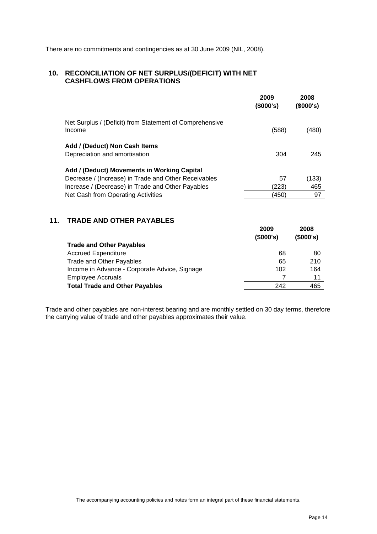There are no commitments and contingencies as at 30 June 2009 (NIL, 2008).

## **10. RECONCILIATION OF NET SURPLUS/(DEFICIT) WITH NET CASHFLOWS FROM OPERATIONS**

|                                                                   | 2009<br>(\$000's) | 2008<br>(\$000's) |
|-------------------------------------------------------------------|-------------------|-------------------|
| Net Surplus / (Deficit) from Statement of Comprehensive<br>Income | (588)             | (480)             |
| Add / (Deduct) Non Cash Items<br>Depreciation and amortisation    | 304               | 245               |
| Add / (Deduct) Movements in Working Capital                       |                   |                   |
| Decrease / (Increase) in Trade and Other Receivables              | 57                | (133)             |
| Increase / (Decrease) in Trade and Other Payables                 | (223)             | 465               |
| Net Cash from Operating Activities                                | (450)             | 97                |

## **11. TRADE AND OTHER PAYABLES**

| <b>Trade and Other Payables</b>               | 2009<br>(\$000's) | 2008<br>(\$000's) |
|-----------------------------------------------|-------------------|-------------------|
| <b>Accrued Expenditure</b>                    | 68                | 80                |
| Trade and Other Payables                      | 65                | 210               |
| Income in Advance - Corporate Advice, Signage | 102               | 164               |
| <b>Employee Accruals</b>                      |                   | 11                |
| <b>Total Trade and Other Payables</b>         | 242               | 465               |

Trade and other payables are non-interest bearing and are monthly settled on 30 day terms, therefore the carrying value of trade and other payables approximates their value.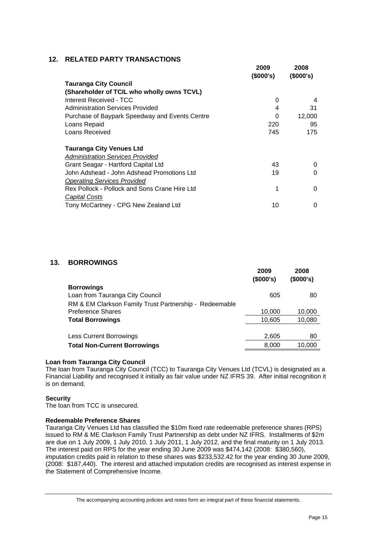## **12. RELATED PARTY TRANSACTIONS**

|                                                | 2009<br>(\$000's) | 2008<br>(\$000's) |
|------------------------------------------------|-------------------|-------------------|
| <b>Tauranga City Council</b>                   |                   |                   |
| (Shareholder of TCIL who wholly owns TCVL)     |                   |                   |
| Interest Received - TCC                        | 0                 | 4                 |
| <b>Administration Services Provided</b>        | 4                 | 31                |
| Purchase of Baypark Speedway and Events Centre | 0                 | 12,000            |
| Loans Repaid                                   | 220               | 95                |
| Loans Received                                 | 745               | 175               |
| <b>Tauranga City Venues Ltd</b>                |                   |                   |
| <b>Administration Services Provided</b>        |                   |                   |
| Grant Seagar - Hartford Capital Ltd            | 43                | 0                 |
| John Adshead - John Adshead Promotions Ltd     | 19                | 0                 |
| <b>Operating Services Provided</b>             |                   |                   |
| Rex Pollock - Pollock and Sons Crane Hire Ltd  | 1                 | 0                 |
| Capital Costs                                  |                   |                   |
| Tony McCartney - CPG New Zealand Ltd           | 10                | 0                 |

## **13. BORROWINGS**

|                                                        | 2009<br>(\$000's) | 2008<br>(\$000's) |
|--------------------------------------------------------|-------------------|-------------------|
| <b>Borrowings</b>                                      |                   |                   |
| Loan from Tauranga City Council                        | 605               | 80                |
| RM & EM Clarkson Family Trust Partnership - Redeemable |                   |                   |
| <b>Preference Shares</b>                               | 10,000            | 10,000            |
| <b>Total Borrowings</b>                                | 10,605            | 10,080            |
|                                                        |                   |                   |
| <b>Less Current Borrowings</b>                         | 2,605             | 80                |
| <b>Total Non-Current Borrowings</b>                    | 8,000             | 10,000            |

#### **Loan from Tauranga City Council**

The loan from Tauranga City Council (TCC) to Tauranga City Venues Ltd (TCVL) is designated as a Financial Liability and recognised it initially as fair value under NZ IFRS 39. After initial recognition it is on demand.

#### **Security**

The loan from TCC is unsecured.

#### **Redeemable Preference Shares**

Tauranga City Venues Ltd has classified the \$10m fixed rate redeemable preference shares (RPS) issued to RM & ME Clarkson Family Trust Partnership as debt under NZ IFRS. Installments of \$2m are due on 1 July 2009, 1 July 2010, 1 July 2011, 1 July 2012, and the final maturity on 1 July 2013. The interest paid on RPS for the year ending 30 June 2009 was \$474,142 (2008: \$380,560), imputation credits paid in relation to these shares was \$233,532.42 for the year ending 30 June 2009, (2008: \$187,440). The interest and attached imputation credits are recognised as interest expense in the Statement of Comprehensive Income.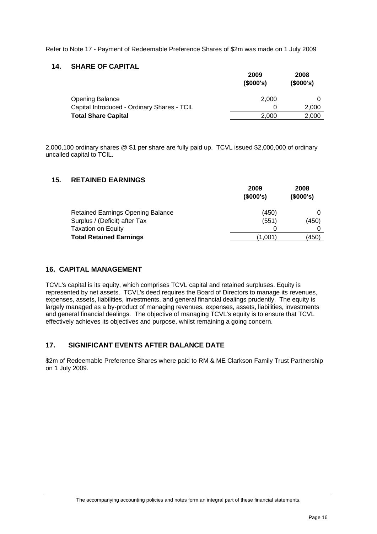Refer to Note 17 - Payment of Redeemable Preference Shares of \$2m was made on 1 July 2009

### **14. SHARE OF CAPITAL**

|                                             | 2009<br>(\$000's) | 2008<br>(\$000's) |
|---------------------------------------------|-------------------|-------------------|
| <b>Opening Balance</b>                      | 2.000             |                   |
| Capital Introduced - Ordinary Shares - TCIL |                   | 2,000             |
| <b>Total Share Capital</b>                  | 2.000             | 2,000             |

2,000,100 ordinary shares @ \$1 per share are fully paid up. TCVL issued \$2,000,000 of ordinary uncalled capital to TCIL.

### **15. RETAINED EARNINGS**

|                                          | 2009<br>(\$000's) | 2008<br>(\$000's) |
|------------------------------------------|-------------------|-------------------|
| <b>Retained Earnings Opening Balance</b> | (450)             |                   |
| Surplus / (Deficit) after Tax            | (551)             | (450)             |
| <b>Taxation on Equity</b>                | 0                 |                   |
| <b>Total Retained Earnings</b>           | (1.001            | (450)             |

## **16. CAPITAL MANAGEMENT**

TCVL's capital is its equity, which comprises TCVL capital and retained surpluses. Equity is represented by net assets. TCVL's deed requires the Board of Directors to manage its revenues, expenses, assets, liabilities, investments, and general financial dealings prudently. The equity is largely managed as a by-product of managing revenues, expenses, assets, liabilities, investments and general financial dealings. The objective of managing TCVL's equity is to ensure that TCVL effectively achieves its objectives and purpose, whilst remaining a going concern.

## **17. SIGNIFICANT EVENTS AFTER BALANCE DATE**

\$2m of Redeemable Preference Shares where paid to RM & ME Clarkson Family Trust Partnership on 1 July 2009.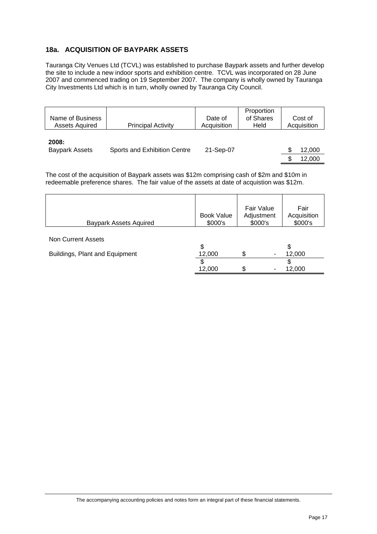## **18a. ACQUISITION OF BAYPARK ASSETS**

Tauranga City Venues Ltd (TCVL) was established to purchase Baypark assets and further develop the site to include a new indoor sports and exhibition centre. TCVL was incorporated on 28 June 2007 and commenced trading on 19 September 2007. The company is wholly owned by Tauranga City Investments Ltd which is in turn, wholly owned by Tauranga City Council.

| Name of Business<br><b>Assets Aquired</b> | <b>Principal Activity</b>    | Date of<br>Acquisition | Proportion<br>of Shares<br>Held | Cost of<br>Acquisition |
|-------------------------------------------|------------------------------|------------------------|---------------------------------|------------------------|
| 2008:<br><b>Baypark Assets</b>            | Sports and Exhibition Centre | 21-Sep-07              |                                 | 12,000                 |
|                                           |                              |                        |                                 | 12.000                 |

The cost of the acquisition of Baypark assets was \$12m comprising cash of \$2m and \$10m in redeemable preference shares. The fair value of the assets at date of acquistion was \$12m.

| <b>Baypark Assets Aquired</b>  | <b>Book Value</b><br>\$000's | <b>Fair Value</b><br>Adjustment<br>\$000's | Fair<br>Acquisition<br>\$000's |
|--------------------------------|------------------------------|--------------------------------------------|--------------------------------|
|                                |                              |                                            |                                |
| Non Current Assets             |                              |                                            |                                |
|                                | \$                           |                                            | \$                             |
| Buildings, Plant and Equipment | 12,000                       | ٠                                          | 12,000                         |
|                                | \$                           |                                            |                                |
|                                | 12,000                       | œ<br>۰<br>$\mathbf{r}$                     | 12,000                         |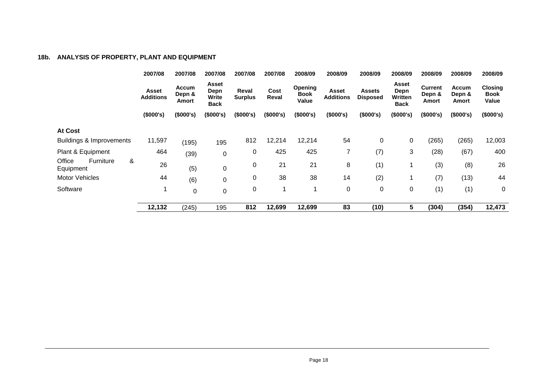## **18b. ANALYSIS OF PROPERTY, PLANT AND EQUIPMENT**

|                                              | 2007/08                   | 2007/08                         | 2007/08                               | 2007/08                 | 2007/08       | 2008/09                         | 2008/09                   | 2008/09                   | 2008/09                                 | 2008/09                           | 2008/09                  | 2008/09                                |
|----------------------------------------------|---------------------------|---------------------------------|---------------------------------------|-------------------------|---------------|---------------------------------|---------------------------|---------------------------|-----------------------------------------|-----------------------------------|--------------------------|----------------------------------------|
|                                              | Asset<br><b>Additions</b> | <b>Accum</b><br>Depn &<br>Amort | Asset<br>Depn<br>Write<br><b>Back</b> | Reval<br><b>Surplus</b> | Cost<br>Reval | Opening<br><b>Book</b><br>Value | Asset<br><b>Additions</b> | Assets<br><b>Disposed</b> | Asset<br>Depn<br>Written<br><b>Back</b> | <b>Current</b><br>Depn &<br>Amort | Accum<br>Depn &<br>Amort | <b>Closing</b><br><b>Book</b><br>Value |
|                                              | (\$000's)                 | (\$000's)                       | (\$000's)                             | (\$000's)               | (\$000's)     | (\$000's)                       | (\$000's)                 | (\$000's)                 | (\$000's)                               | (\$000's)                         | (\$000's)                | (\$000's)                              |
| <b>At Cost</b>                               |                           |                                 |                                       |                         |               |                                 |                           |                           |                                         |                                   |                          |                                        |
| <b>Buildings &amp; Improvements</b>          | 11,597                    | (195)                           | 195                                   | 812                     | 12,214        | 12,214                          | 54                        | 0                         | $\mathbf 0$                             | (265)                             | (265)                    | 12,003                                 |
| Plant & Equipment                            | 464                       | (39)                            | 0                                     | 0                       | 425           | 425                             | 7                         | (7)                       | 3                                       | (28)                              | (67)                     | 400                                    |
| &<br>Office<br><b>Furniture</b><br>Equipment | 26                        | (5)                             | 0                                     | 0                       | 21            | 21                              | 8                         | (1)                       |                                         | (3)                               | (8)                      | 26                                     |
| <b>Motor Vehicles</b>                        | 44                        | (6)                             | 0                                     | 0                       | 38            | 38                              | 14                        | (2)                       |                                         | (7)                               | (13)                     | 44                                     |
| Software                                     |                           | 0                               | 0                                     | 0                       | 1             |                                 | $\mathbf 0$               | $\mathbf 0$               | $\mathbf 0$                             | (1)                               | (1)                      | $\pmb{0}$                              |
|                                              | 12,132                    | (245)                           | 195                                   | 812                     | 12,699        | 12,699                          | 83                        | (10)                      | 5                                       | (304)                             | (354)                    | 12,473                                 |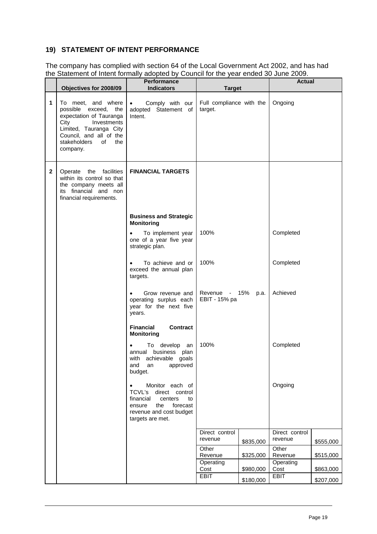## **19) STATEMENT OF INTENT PERFORMANCE**

The company has complied with section 64 of the Local Government Act 2002, and has had the Statement of Intent formally adopted by Council for the year ended 30 June 2009.

|              | Objectives for 2008/09                                                                                                                                                                     | <b>Performance</b><br><b>Indicators</b>                                                                                                                    | <b>Target</b>                       |           | <b>Actual</b>     |           |
|--------------|--------------------------------------------------------------------------------------------------------------------------------------------------------------------------------------------|------------------------------------------------------------------------------------------------------------------------------------------------------------|-------------------------------------|-----------|-------------------|-----------|
| 1            | To meet, and where<br>possible exceed, the<br>expectation of Tauranga<br>City<br>Investments<br>Limited, Tauranga City<br>Council, and all of the<br>stakeholders<br>of<br>the<br>company. | Comply with our<br>$\bullet$<br>adopted Statement of<br>Intent.                                                                                            | Full compliance with the<br>target. |           | Ongoing           |           |
| $\mathbf{2}$ | Operate the facilities<br>within its control so that<br>the company meets all<br>its financial and non<br>financial requirements.                                                          | <b>FINANCIAL TARGETS</b>                                                                                                                                   |                                     |           |                   |           |
|              |                                                                                                                                                                                            | <b>Business and Strategic</b><br><b>Monitoring</b>                                                                                                         |                                     |           |                   |           |
|              |                                                                                                                                                                                            | To implement year<br>one of a year five year<br>strategic plan.                                                                                            | 100%                                |           | Completed         |           |
|              |                                                                                                                                                                                            | To achieve and or<br>$\bullet$<br>exceed the annual plan<br>targets.                                                                                       | 100%                                |           | Completed         |           |
|              |                                                                                                                                                                                            | Grow revenue and<br>operating surplus each<br>year for the next five<br>years.                                                                             | Revenue - 15%<br>EBIT - 15% pa      | p.a.      | Achieved          |           |
|              |                                                                                                                                                                                            | <b>Financial</b><br>Contract<br><b>Monitoring</b>                                                                                                          |                                     |           |                   |           |
|              |                                                                                                                                                                                            | To develop an<br>business plan<br>annual<br>with achievable goals<br>and<br>an<br>approved<br>budget.                                                      | 100%                                |           | Completed         |           |
|              |                                                                                                                                                                                            | Monitor each of<br>٠<br>TCVL's<br>direct control<br>financial<br>centers<br>to<br>the<br>forecast<br>ensure<br>revenue and cost budget<br>targets are met. |                                     |           | Ongoing           |           |
|              |                                                                                                                                                                                            |                                                                                                                                                            | Direct control                      |           | Direct control    |           |
|              |                                                                                                                                                                                            |                                                                                                                                                            | revenue<br>Other                    | \$835,000 | revenue<br>Other  | \$555,000 |
|              |                                                                                                                                                                                            |                                                                                                                                                            | Revenue                             | \$325,000 | Revenue           | \$515,000 |
|              |                                                                                                                                                                                            |                                                                                                                                                            | Operating<br>Cost                   | \$980,000 | Operating<br>Cost | \$863,000 |
|              |                                                                                                                                                                                            |                                                                                                                                                            | <b>EBIT</b>                         | \$180,000 | <b>EBIT</b>       | \$207,000 |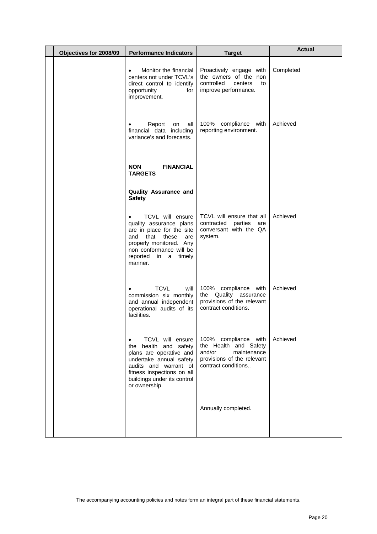| Objectives for 2008/09<br><b>Performance Indicators</b> |                                                                                                                                                                                                                     | <b>Target</b>                                                                                                               | <b>Actual</b> |
|---------------------------------------------------------|---------------------------------------------------------------------------------------------------------------------------------------------------------------------------------------------------------------------|-----------------------------------------------------------------------------------------------------------------------------|---------------|
|                                                         | Monitor the financial<br>$\bullet$<br>centers not under TCVL's<br>direct control to identify<br>opportunity<br>for<br>improvement.                                                                                  | Proactively engage with<br>the owners of the non<br>controlled<br>centers<br>to<br>improve performance.                     | Completed     |
|                                                         | Report<br>all<br>on<br>financial data including<br>variance's and forecasts.                                                                                                                                        | 100% compliance with<br>reporting environment.                                                                              | Achieved      |
|                                                         | <b>FINANCIAL</b><br><b>NON</b><br><b>TARGETS</b>                                                                                                                                                                    |                                                                                                                             |               |
|                                                         | Quality Assurance and<br><b>Safety</b>                                                                                                                                                                              |                                                                                                                             |               |
|                                                         | TCVL will ensure<br>$\bullet$<br>quality assurance plans<br>are in place for the site<br>that<br>these<br>and<br>are<br>properly monitored. Any<br>non conformance will be<br>reported in a timely<br>manner.       | TCVL will ensure that all<br>contracted<br>parties<br>are<br>conversant with the QA<br>system.                              | Achieved      |
|                                                         | <b>TCVL</b><br>will<br>commission six monthly<br>and annual independent<br>operational audits of its<br>facilities.                                                                                                 | 100% compliance with<br>the Quality assurance<br>provisions of the relevant<br>contract conditions.                         | Achieved      |
|                                                         | TCVL will ensure<br>$\bullet$<br>the health and safety<br>plans are operative and<br>undertake annual safety<br>audits and warrant of<br>fitness inspections on all<br>buildings under its control<br>or ownership. | 100% compliance with<br>the Health and Safety<br>and/or<br>maintenance<br>provisions of the relevant<br>contract conditions | Achieved      |
|                                                         |                                                                                                                                                                                                                     | Annually completed.                                                                                                         |               |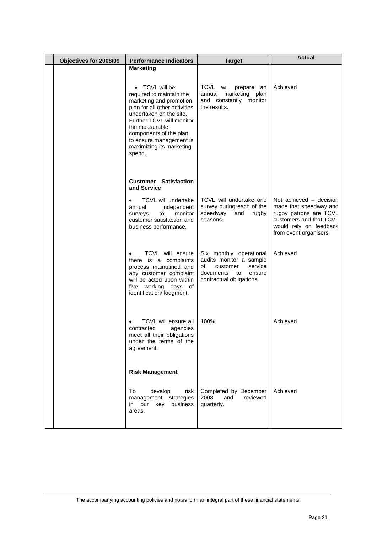| Objectives for 2008/09 | <b>Performance Indicators</b>                                                                                                                                                                                                                                               | <b>Target</b>                                                                                                                            | <b>Actual</b>                                                                                                                                             |
|------------------------|-----------------------------------------------------------------------------------------------------------------------------------------------------------------------------------------------------------------------------------------------------------------------------|------------------------------------------------------------------------------------------------------------------------------------------|-----------------------------------------------------------------------------------------------------------------------------------------------------------|
|                        | <b>Marketing</b>                                                                                                                                                                                                                                                            |                                                                                                                                          |                                                                                                                                                           |
|                        | • TCVL will be<br>required to maintain the<br>marketing and promotion<br>plan for all other activities<br>undertaken on the site.<br>Further TCVL will monitor<br>the measurable<br>components of the plan<br>to ensure management is<br>maximizing its marketing<br>spend. | TCVL will prepare an<br>annual marketing<br>plan<br>and constantly monitor<br>the results.                                               | Achieved                                                                                                                                                  |
|                        | <b>Customer Satisfaction</b><br>and Service                                                                                                                                                                                                                                 |                                                                                                                                          |                                                                                                                                                           |
|                        | TCVL will undertake<br>$\bullet$<br>annual<br>independent<br>monitor<br>to<br>surveys<br>customer satisfaction and<br>business performance.                                                                                                                                 | TCVL will undertake one<br>survey during each of the<br>speedway<br>and<br>rugby<br>seasons.                                             | Not achieved - decision<br>made that speedway and<br>rugby patrons are TCVL<br>customers and that TCVL<br>would rely on feedback<br>from event organisers |
|                        | TCVL will ensure<br>$\bullet$<br>there is a complaints<br>process maintained and<br>any customer complaint<br>will be acted upon within<br>five working days of<br>identification/ lodgment.                                                                                | Six monthly operational<br>audits monitor a sample<br>οf<br>service<br>customer<br>documents<br>to<br>ensure<br>contractual obligations. | Achieved                                                                                                                                                  |
|                        | TCVL will ensure all<br>contracted<br>agencies<br>meet all their obligations<br>under the terms of the<br>agreement.                                                                                                                                                        | 100%                                                                                                                                     | Achieved                                                                                                                                                  |
|                        | <b>Risk Management</b>                                                                                                                                                                                                                                                      |                                                                                                                                          |                                                                                                                                                           |
|                        | To<br>develop<br>risk<br>management strategies<br>in our key business<br>areas.                                                                                                                                                                                             | Completed by December<br>reviewed<br>2008<br>and<br>quarterly.                                                                           | Achieved                                                                                                                                                  |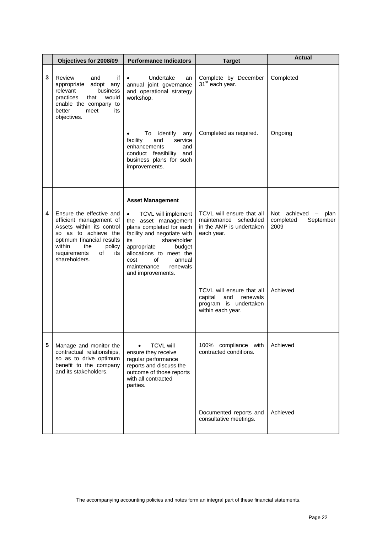|   | Objectives for 2008/09                                                                                                                                                                                         | <b>Performance Indicators</b>                                                                                                                                                                                                                                         | <b>Target</b>                                                                                         | <b>Actual</b>                                         |
|---|----------------------------------------------------------------------------------------------------------------------------------------------------------------------------------------------------------------|-----------------------------------------------------------------------------------------------------------------------------------------------------------------------------------------------------------------------------------------------------------------------|-------------------------------------------------------------------------------------------------------|-------------------------------------------------------|
| 3 | Review<br>if<br>and<br>appropriate<br>adopt any<br>relevant<br>business<br>practices<br>that<br>would<br>enable the company to<br>better<br>its<br>meet<br>objectives.                                         | Undertake<br>$\bullet$<br>an<br>annual joint governance<br>and operational strategy<br>workshop.                                                                                                                                                                      | Complete by December<br>31 <sup>st</sup> each year.                                                   | Completed                                             |
|   |                                                                                                                                                                                                                | To identify<br>any<br>facility<br>service<br>and<br>enhancements<br>and<br>conduct feasibility<br>and<br>business plans for such<br>improvements.                                                                                                                     | Completed as required.                                                                                | Ongoing                                               |
|   |                                                                                                                                                                                                                | <b>Asset Management</b>                                                                                                                                                                                                                                               |                                                                                                       |                                                       |
| 4 | Ensure the effective and<br>efficient management of<br>Assets within its control<br>so as to achieve the<br>optimum financial results<br>within<br>the<br>policy<br>requirements<br>of<br>its<br>shareholders. | TCVL will implement<br>$\bullet$<br>the asset management<br>plans completed for each<br>facility and negotiate with<br>shareholder<br>its<br>appropriate<br>budget<br>allocations to meet the<br>οf<br>cost<br>annual<br>maintenance<br>renewals<br>and improvements. | TCVL will ensure that all<br>maintenance<br>scheduled<br>in the AMP is undertaken<br>each year.       | Not achieved - plan<br>completed<br>September<br>2009 |
|   |                                                                                                                                                                                                                |                                                                                                                                                                                                                                                                       | TCVL will ensure that all<br>capital<br>renewals<br>and<br>program is undertaken<br>within each year. | Achieved                                              |
| 5 | Manage and monitor the<br>contractual relationships,<br>so as to drive optimum<br>benefit to the company<br>and its stakeholders.                                                                              | <b>TCVL will</b><br>ensure they receive<br>regular performance<br>reports and discuss the<br>outcome of those reports<br>with all contracted<br>parties.                                                                                                              | 100% compliance with<br>contracted conditions.                                                        | Achieved                                              |
|   |                                                                                                                                                                                                                |                                                                                                                                                                                                                                                                       | Documented reports and<br>consultative meetings.                                                      | Achieved                                              |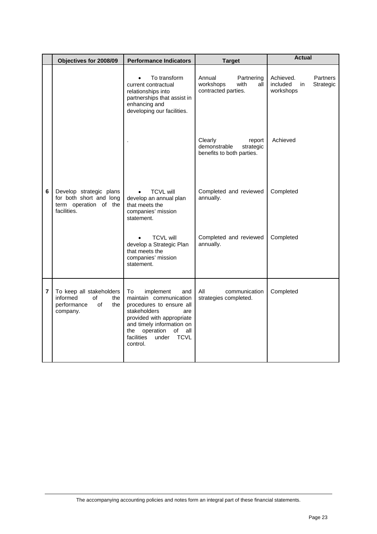|                | Objectives for 2008/09                                                                     | <b>Performance Indicators</b>                                                                                                                                                                                                                 | <b>Target</b>                                                               | <b>Actual</b>                                                            |  |
|----------------|--------------------------------------------------------------------------------------------|-----------------------------------------------------------------------------------------------------------------------------------------------------------------------------------------------------------------------------------------------|-----------------------------------------------------------------------------|--------------------------------------------------------------------------|--|
|                |                                                                                            | To transform<br>$\bullet$<br>current contractual<br>relationships into<br>partnerships that assist in<br>enhancing and<br>developing our facilities.                                                                                          | Annual<br>Partnering<br>workshops<br>with<br>all<br>contracted parties.     | Achieved.<br><b>Partners</b><br>included<br>Strategic<br>in<br>workshops |  |
|                |                                                                                            |                                                                                                                                                                                                                                               | Clearly<br>report<br>demonstrable<br>strategic<br>benefits to both parties. | Achieved                                                                 |  |
| 6              | Develop strategic plans<br>for both short and long<br>term operation of the<br>facilities. | <b>TCVL will</b><br>develop an annual plan<br>that meets the<br>companies' mission<br>statement.                                                                                                                                              | Completed and reviewed<br>annually.                                         | Completed                                                                |  |
|                |                                                                                            | <b>TCVL will</b><br>develop a Strategic Plan<br>that meets the<br>companies' mission<br>statement.                                                                                                                                            | Completed and reviewed<br>annually.                                         | Completed                                                                |  |
| $\overline{7}$ | To keep all stakeholders<br>informed<br>of<br>the<br>performance<br>of<br>the<br>company.  | To<br>implement<br>and<br>maintain communication<br>procedures to ensure all<br>stakeholders<br>are<br>provided with appropriate<br>and timely information on<br>operation of<br>all<br>the<br>facilities<br><b>TCVL</b><br>under<br>control. | All<br>communication<br>strategies completed.                               | Completed                                                                |  |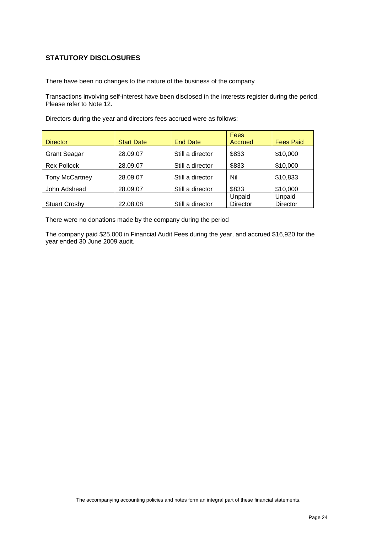## **STATUTORY DISCLOSURES**

There have been no changes to the nature of the business of the company

Transactions involving self-interest have been disclosed in the interests register during the period. Please refer to Note 12.

|                       |                   |                  | <b>Fees</b>     |                  |
|-----------------------|-------------------|------------------|-----------------|------------------|
| <b>Director</b>       | <b>Start Date</b> | <b>End Date</b>  | Accrued         | <b>Fees Paid</b> |
| <b>Grant Seagar</b>   | 28.09.07          | Still a director | \$833           | \$10,000         |
| <b>Rex Pollock</b>    | 28.09.07          | Still a director | \$833           | \$10,000         |
| <b>Tony McCartney</b> | 28.09.07          | Still a director | Nil             | \$10,833         |
| John Adshead          | 28.09.07          | Still a director | \$833           | \$10,000         |
|                       |                   |                  | Unpaid          | Unpaid           |
| <b>Stuart Crosby</b>  | 22.08.08          | Still a director | <b>Director</b> | <b>Director</b>  |

Directors during the year and directors fees accrued were as follows:

There were no donations made by the company during the period

The company paid \$25,000 in Financial Audit Fees during the year, and accrued \$16,920 for the year ended 30 June 2009 audit.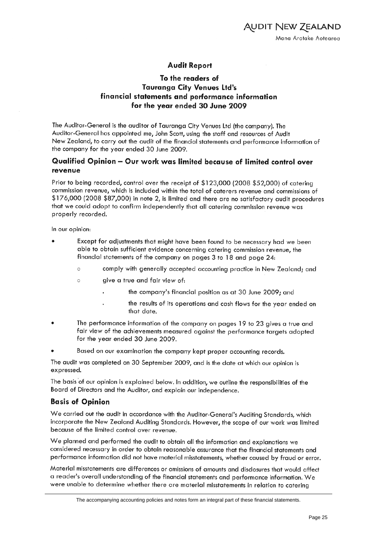## **Audit Report**

## To the readers of **Tauranga City Venues Ltd's** financial statements and performance information for the year ended 30 June 2009

The Auditor-General is the auditor of Tauranga City Venues Ltd (the company). The Auditor-General has appointed me, John Scott, using the staff and resources of Audit New Zealand, to carry out the audit of the financial statements and performance information of the company for the year ended 30 June 2009.

## Qualified Opinion - Our work was limited because of limited control over revenue

Prior to being recorded, control over the receipt of \$123,000 (2008 \$52,000) of catering commission revenue, which is included within the total of caterers revenue and commissions of \$176,000 (2008 \$87,000) in note 2, is limited and there are no satisfactory audit procedures that we could adopt to confirm independently that all catering commission revenue was properly recorded.

In our opinion:

- Except for adjustments that might have been found to be necessary had we been able to obtain sufficient evidence concerning catering commission revenue, the financial statements of the company on pages 3 to 18 and page 24:
	- $\circ$ comply with generally accepted accounting practice in New Zealand; and
	- $\circ$ give a true and fair view of:
		- the company's financial position as at 30 June 2009; and
		- the results of its operations and cash flows for the year ended on that date.
- The performance information of the company on pages 19 to 23 gives a true and fair view of the achievements measured against the performance targets adopted for the year ended 30 June 2009.
- Based on our examination the company kept proper accounting records.

The audit was completed on 30 September 2009, and is the date at which our opinion is expressed.

The basis of our opinion is explained below. In addition, we outline the responsibilities of the Board of Directors and the Auditor, and explain our independence.

## **Basis of Opinion**

We carried out the audit in accordance with the Auditor-General's Auditing Standards, which incorporate the New Zealand Auditing Standards. However, the scope of our work was limited because of the limited control over revenue.

We planned and performed the audit to obtain all the information and explanations we considered necessary in order to obtain reasonable assurance that the financial statements and performance information did not have material misstatements, whether caused by fraud or error.

Material misstatements are differences or omissions of amounts and disclosures that would affect a reader's overall understanding of the financial statements and performance information. We were unable to determine whether there are material misstatements in relation to catering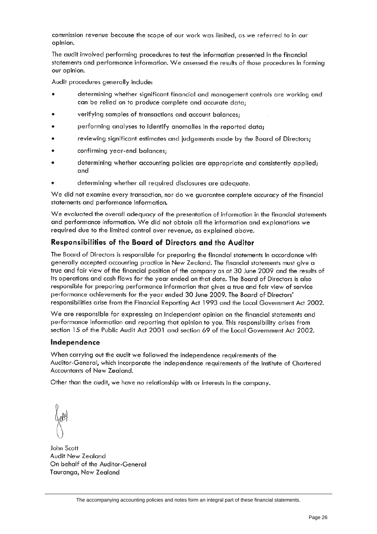commission revenue because the scope of our work was limited, as we referred to in our opinion.

The audit involved performing procedures to test the information presented in the financial statements and performance information. We assessed the results of those procedures in forming our opinion.

Audit procedures generally include:

- determining whether significant financial and management controls are working and can be relied on to produce complete and accurate data;
- verifying samples of transactions and account balances;
- performing analyses to identify anomalies in the reported data;
- reviewing significant estimates and judgements made by the Board of Directors;
- confirming year-end balances;
- determining whether accounting policies are appropriate and consistently applied; and
- determining whether all required disclosures are adequate.

We did not examine every transaction, nor do we guarantee complete accuracy of the financial statements and performance information.

We evaluated the overall adequacy of the presentation of information in the financial statements and performance information. We did not obtain all the information and explanations we required due to the limited control over revenue, as explained above.

### Responsibilities of the Board of Directors and the Auditor

The Board of Directors is responsible for preparing the financial statements in accordance with generally accepted accounting practice in New Zealand. The financial statements must give a true and fair view of the financial position of the company as at 30 June 2009 and the results of its operations and cash flows for the year ended on that date. The Board of Directors is also responsible for preparing performance information that gives a true and fair view of service performance achievements for the year ended 30 June 2009. The Board of Directors' responsibilities arise from the Financial Reporting Act 1993 and the Local Government Act 2002.

We are responsible for expressing an independent opinion on the financial statements and performance information and reporting that opinion to you. This responsibility arises from section 15 of the Public Audit Act 2001 and section 69 of the Local Government Act 2002.

#### Independence

When carrying out the audit we followed the independence requirements of the Auditor-General, which incorporate the independence requirements of the Institute of Chartered Accountants of New Zealand.

Other than the audit, we have no relationship with or interests in the company.

John Scott Audit New Zealand On behalf of the Auditor-General Tauranga, New Zealand